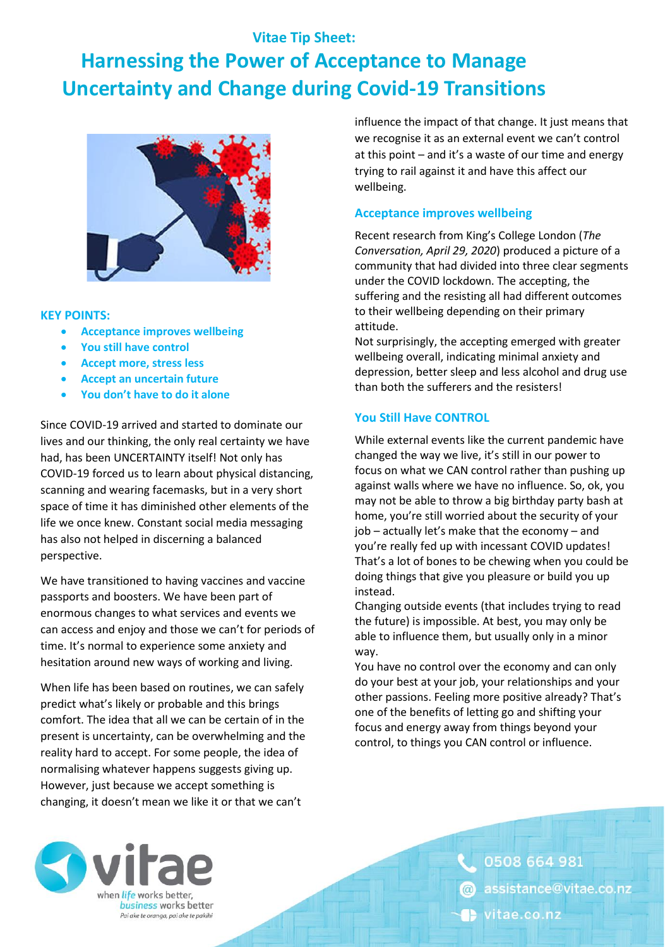# **Vitae Tip Sheet: Harnessing the Power of Acceptance to Manage Uncertainty and Change during Covid-19 Transitions**



#### **KEY POINTS:**

- **Acceptance improves wellbeing**
- **You still have control**
- **Accept more, stress less**
- **Accept an uncertain future**
- **You don't have to do it alone**

Since COVID-19 arrived and started to dominate our lives and our thinking, the only real certainty we have had, has been UNCERTAINTY itself! Not only has COVID-19 forced us to learn about physical distancing, scanning and wearing facemasks, but in a very short space of time it has diminished other elements of the life we once knew. Constant social media messaging has also not helped in discerning a balanced perspective.

We have transitioned to having vaccines and vaccine passports and boosters. We have been part of enormous changes to what services and events we can access and enjoy and those we can't for periods of time. It's normal to experience some anxiety and hesitation around new ways of working and living.

When life has been based on routines, we can safely predict what's likely or probable and this brings comfort. The idea that all we can be certain of in the present is uncertainty, can be overwhelming and the reality hard to accept. For some people, the idea of normalising whatever happens suggests giving up. However, just because we accept something is changing, it doesn't mean we like it or that we can't

influence the impact of that change. It just means that we recognise it as an external event we can't control at this point – and it's a waste of our time and energy trying to rail against it and have this affect our wellbeing.

### **Acceptance improves wellbeing**

Recent research from King's College London (*The Conversation, April 29, 2020*) produced a picture of a community that had divided into three clear segments under the COVID lockdown. The accepting, the suffering and the resisting all had different outcomes to their wellbeing depending on their primary attitude.

Not surprisingly, the accepting emerged with greater wellbeing overall, indicating minimal anxiety and depression, better sleep and less alcohol and drug use than both the sufferers and the resisters!

# **You Still Have CONTROL**

While external events like the current pandemic have changed the way we live, it's still in our power to focus on what we CAN control rather than pushing up against walls where we have no influence. So, ok, you may not be able to throw a big birthday party bash at home, you're still worried about the security of your job – actually let's make that the economy – and you're really fed up with incessant COVID updates! That's a lot of bones to be chewing when you could be doing things that give you pleasure or build you up instead.

Changing outside events (that includes trying to read the future) is impossible. At best, you may only be able to influence them, but usually only in a minor way.

You have no control over the economy and can only do your best at your job, your relationships and your other passions. Feeling more positive already? That's one of the benefits of letting go and shifting your focus and energy away from things beyond your control, to things you CAN control or influence.



0508 664 981 assistance@vitae.co.nz vitae.co.nz